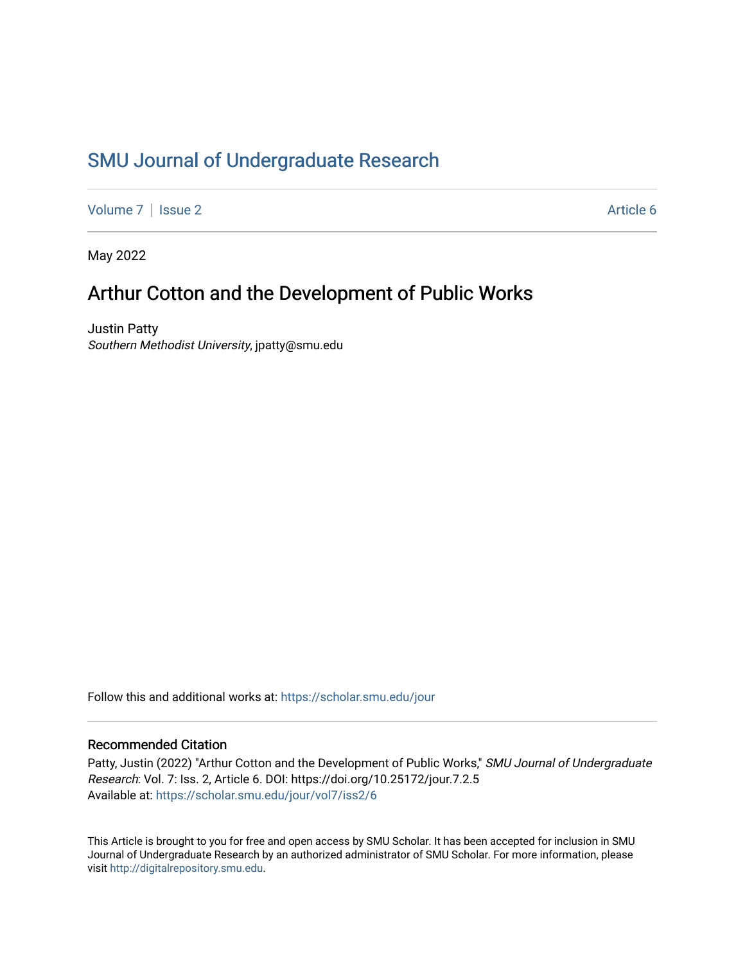## [SMU Journal of Undergraduate Research](https://scholar.smu.edu/jour)

[Volume 7](https://scholar.smu.edu/jour/vol7) | [Issue 2](https://scholar.smu.edu/jour/vol7/iss2) Article 6

May 2022

## Arthur Cotton and the Development of Public Works

Justin Patty Southern Methodist University, jpatty@smu.edu

Follow this and additional works at: [https://scholar.smu.edu/jour](https://scholar.smu.edu/jour?utm_source=scholar.smu.edu%2Fjour%2Fvol7%2Fiss2%2F6&utm_medium=PDF&utm_campaign=PDFCoverPages) 

### Recommended Citation

Patty, Justin (2022) "Arthur Cotton and the Development of Public Works," SMU Journal of Undergraduate Research: Vol. 7: Iss. 2, Article 6. DOI: https://doi.org/10.25172/jour.7.2.5 Available at: [https://scholar.smu.edu/jour/vol7/iss2/6](https://scholar.smu.edu/jour/vol7/iss2/6?utm_source=scholar.smu.edu%2Fjour%2Fvol7%2Fiss2%2F6&utm_medium=PDF&utm_campaign=PDFCoverPages) 

This Article is brought to you for free and open access by SMU Scholar. It has been accepted for inclusion in SMU Journal of Undergraduate Research by an authorized administrator of SMU Scholar. For more information, please visit [http://digitalrepository.smu.edu](http://digitalrepository.smu.edu/).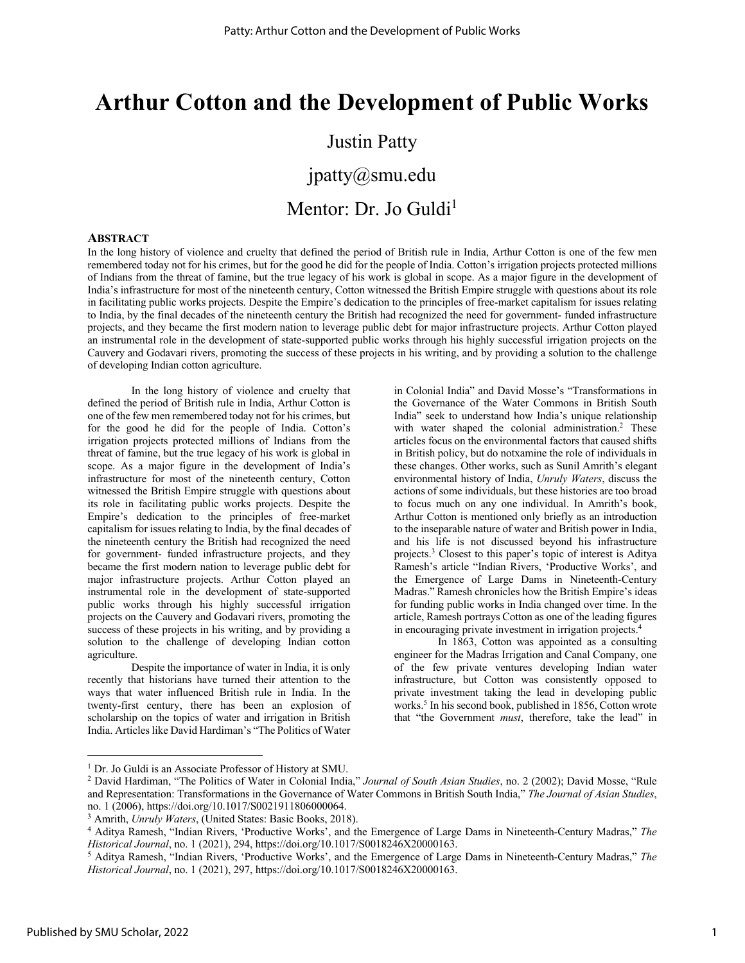## **Arthur Cotton and the Development of Public Works**

### Justin Patty

# jpatty@smu.edu Mentor: Dr. Jo Guldi<sup>1</sup>

### **ABSTRACT**

In the long history of violence and cruelty that defined the period of British rule in India, Arthur Cotton is one of the few men remembered today not for his crimes, but for the good he did for the people of India. Cotton's irrigation projects protected millions of Indians from the threat of famine, but the true legacy of his work is global in scope. As a major figure in the development of India's infrastructure for most of the nineteenth century, Cotton witnessed the British Empire struggle with questions about its role in facilitating public works projects. Despite the Empire's dedication to the principles of free-market capitalism for issues relating to India, by the final decades of the nineteenth century the British had recognized the need for government- funded infrastructure projects, and they became the first modern nation to leverage public debt for major infrastructure projects. Arthur Cotton played an instrumental role in the development of state-supported public works through his highly successful irrigation projects on the Cauvery and Godavari rivers, promoting the success of these projects in his writing, and by providing a solution to the challenge of developing Indian cotton agriculture.

In the long history of violence and cruelty that defined the period of British rule in India, Arthur Cotton is one of the few men remembered today not for his crimes, but for the good he did for the people of India. Cotton's irrigation projects protected millions of Indians from the threat of famine, but the true legacy of his work is global in scope. As a major figure in the development of India's infrastructure for most of the nineteenth century, Cotton witnessed the British Empire struggle with questions about its role in facilitating public works projects. Despite the Empire's dedication to the principles of free-market capitalism for issues relating to India, by the final decades of the nineteenth century the British had recognized the need for government- funded infrastructure projects, and they became the first modern nation to leverage public debt for major infrastructure projects. Arthur Cotton played an instrumental role in the development of state-supported public works through his highly successful irrigation projects on the Cauvery and Godavari rivers, promoting the success of these projects in his writing, and by providing a solution to the challenge of developing Indian cotton agriculture.

Despite the importance of water in India, it is only recently that historians have turned their attention to the ways that water influenced British rule in India. In the twenty-first century, there has been an explosion of scholarship on the topics of water and irrigation in British India. Articles like David Hardiman's "The Politics of Water

in Colonial India" and David Mosse's "Transformations in the Governance of the Water Commons in British South India" seek to understand how India's unique relationship with water shaped the colonial administration.<sup>2</sup> These articles focus on the environmental factors that caused shifts in British policy, but do notxamine the role of individuals in these changes. Other works, such as Sunil Amrith's elegant environmental history of India, *Unruly Waters*, discuss the actions of some individuals, but these histories are too broad to focus much on any one individual. In Amrith's book, Arthur Cotton is mentioned only briefly as an introduction to the inseparable nature of water and British power in India, and his life is not discussed beyond his infrastructure projects.3 Closest to this paper's topic of interest is Aditya Ramesh's article "Indian Rivers, 'Productive Works', and the Emergence of Large Dams in Nineteenth-Century Madras." Ramesh chronicles how the British Empire's ideas for funding public works in India changed over time. In the article, Ramesh portrays Cotton as one of the leading figures in encouraging private investment in irrigation projects.4

In 1863, Cotton was appointed as a consulting engineer for the Madras Irrigation and Canal Company, one of the few private ventures developing Indian water infrastructure, but Cotton was consistently opposed to private investment taking the lead in developing public works.<sup>5</sup> In his second book, published in 1856, Cotton wrote that "the Government *must*, therefore, take the lead" in

<sup>&</sup>lt;sup>1</sup> Dr. Jo Guldi is an Associate Professor of History at SMU.

<sup>2</sup> David Hardiman, "The Politics of Water in Colonial India," *Journal of South Asian Studies*, no. 2 (2002); David Mosse, "Rule and Representation: Transformations in the Governance of Water Commons in British South India," *The Journal of Asian Studies*, no. 1 (2006), https://doi.org/10.1017/S0021911806000064.

<sup>3</sup> Amrith, *Unruly Waters*, (United States: Basic Books, 2018).

<sup>4</sup> Aditya Ramesh, "Indian Rivers, 'Productive Works', and the Emergence of Large Dams in Nineteenth-Century Madras," *The Historical Journal*, no. 1 (2021), 294, https://doi.org/10.1017/S0018246X20000163.

<sup>5</sup> Aditya Ramesh, "Indian Rivers, 'Productive Works', and the Emergence of Large Dams in Nineteenth-Century Madras," *The Historical Journal*, no. 1 (2021), 297, https://doi.org/10.1017/S0018246X20000163.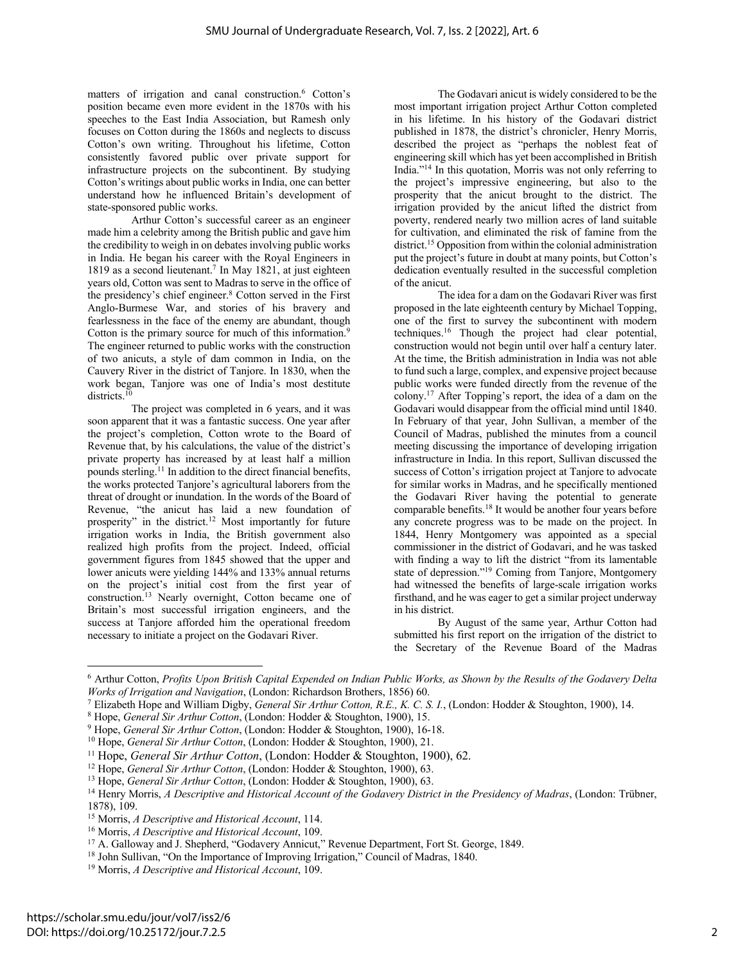matters of irrigation and canal construction.6 Cotton's position became even more evident in the 1870s with his speeches to the East India Association, but Ramesh only focuses on Cotton during the 1860s and neglects to discuss Cotton's own writing. Throughout his lifetime, Cotton consistently favored public over private support for infrastructure projects on the subcontinent. By studying Cotton's writings about public works in India, one can better understand how he influenced Britain's development of state-sponsored public works.

Arthur Cotton's successful career as an engineer made him a celebrity among the British public and gave him the credibility to weigh in on debates involving public works in India. He began his career with the Royal Engineers in 1819 as a second lieutenant.7 In May 1821, at just eighteen years old, Cotton was sent to Madras to serve in the office of the presidency's chief engineer.8 Cotton served in the First Anglo-Burmese War, and stories of his bravery and fearlessness in the face of the enemy are abundant, though Cotton is the primary source for much of this information.<sup>9</sup> The engineer returned to public works with the construction of two anicuts, a style of dam common in India, on the Cauvery River in the district of Tanjore. In 1830, when the work began, Tanjore was one of India's most destitute districts.<sup>10</sup>

The project was completed in 6 years, and it was soon apparent that it was a fantastic success. One year after the project's completion, Cotton wrote to the Board of Revenue that, by his calculations, the value of the district's private property has increased by at least half a million pounds sterling.11 In addition to the direct financial benefits, the works protected Tanjore's agricultural laborers from the threat of drought or inundation. In the words of the Board of Revenue, "the anicut has laid a new foundation of prosperity" in the district.<sup>12</sup> Most importantly for future irrigation works in India, the British government also realized high profits from the project. Indeed, official government figures from 1845 showed that the upper and lower anicuts were yielding 144% and 133% annual returns on the project's initial cost from the first year of construction.13 Nearly overnight, Cotton became one of Britain's most successful irrigation engineers, and the success at Tanjore afforded him the operational freedom necessary to initiate a project on the Godavari River.

The Godavari anicut is widely considered to be the most important irrigation project Arthur Cotton completed in his lifetime. In his history of the Godavari district published in 1878, the district's chronicler, Henry Morris, described the project as "perhaps the noblest feat of engineering skill which has yet been accomplished in British India."14 In this quotation, Morris was not only referring to the project's impressive engineering, but also to the prosperity that the anicut brought to the district. The irrigation provided by the anicut lifted the district from poverty, rendered nearly two million acres of land suitable for cultivation, and eliminated the risk of famine from the district.<sup>15</sup> Opposition from within the colonial administration put the project's future in doubt at many points, but Cotton's dedication eventually resulted in the successful completion of the anicut.

The idea for a dam on the Godavari River was first proposed in the late eighteenth century by Michael Topping, one of the first to survey the subcontinent with modern techniques.16 Though the project had clear potential, construction would not begin until over half a century later. At the time, the British administration in India was not able to fund such a large, complex, and expensive project because public works were funded directly from the revenue of the colony.17 After Topping's report, the idea of a dam on the Godavari would disappear from the official mind until 1840. In February of that year, John Sullivan, a member of the Council of Madras, published the minutes from a council meeting discussing the importance of developing irrigation infrastructure in India. In this report, Sullivan discussed the success of Cotton's irrigation project at Tanjore to advocate for similar works in Madras, and he specifically mentioned the Godavari River having the potential to generate comparable benefits.18 It would be another four years before any concrete progress was to be made on the project. In 1844, Henry Montgomery was appointed as a special commissioner in the district of Godavari, and he was tasked with finding a way to lift the district "from its lamentable state of depression."19 Coming from Tanjore, Montgomery had witnessed the benefits of large-scale irrigation works firsthand, and he was eager to get a similar project underway in his district.

By August of the same year, Arthur Cotton had submitted his first report on the irrigation of the district to the Secretary of the Revenue Board of the Madras

<sup>9</sup> Hope, *General Sir Arthur Cotton*, (London: Hodder & Stoughton, 1900), 16-18.

<sup>6</sup> Arthur Cotton, *Profits Upon British Capital Expended on Indian Public Works, as Shown by the Results of the Godavery Delta Works of Irrigation and Navigation*, (London: Richardson Brothers, 1856) 60.

<sup>7</sup> Elizabeth Hope and William Digby, *General Sir Arthur Cotton, R.E., K. C. S. I.*, (London: Hodder & Stoughton, 1900), 14.

<sup>8</sup> Hope, *General Sir Arthur Cotton*, (London: Hodder & Stoughton, 1900), 15.

<sup>10</sup> Hope, *General Sir Arthur Cotton*, (London: Hodder & Stoughton, 1900), 21.

<sup>11</sup> Hope, *General Sir Arthur Cotton*, (London: Hodder & Stoughton, 1900), 62.

<sup>12</sup> Hope, *General Sir Arthur Cotton*, (London: Hodder & Stoughton, 1900), 63.

<sup>13</sup> Hope, *General Sir Arthur Cotton*, (London: Hodder & Stoughton, 1900), 63.

<sup>14</sup> Henry Morris, *A Descriptive and Historical Account of the Godavery District in the Presidency of Madras*, (London: Trübner, 1878), 109.

<sup>15</sup> Morris, *A Descriptive and Historical Account*, 114.

<sup>16</sup> Morris, *A Descriptive and Historical Account*, 109.

<sup>17</sup> A. Galloway and J. Shepherd, "Godavery Annicut," Revenue Department, Fort St. George, 1849.

<sup>18</sup> John Sullivan, "On the Importance of Improving Irrigation," Council of Madras, 1840.

<sup>19</sup> Morris, *A Descriptive and Historical Account*, 109.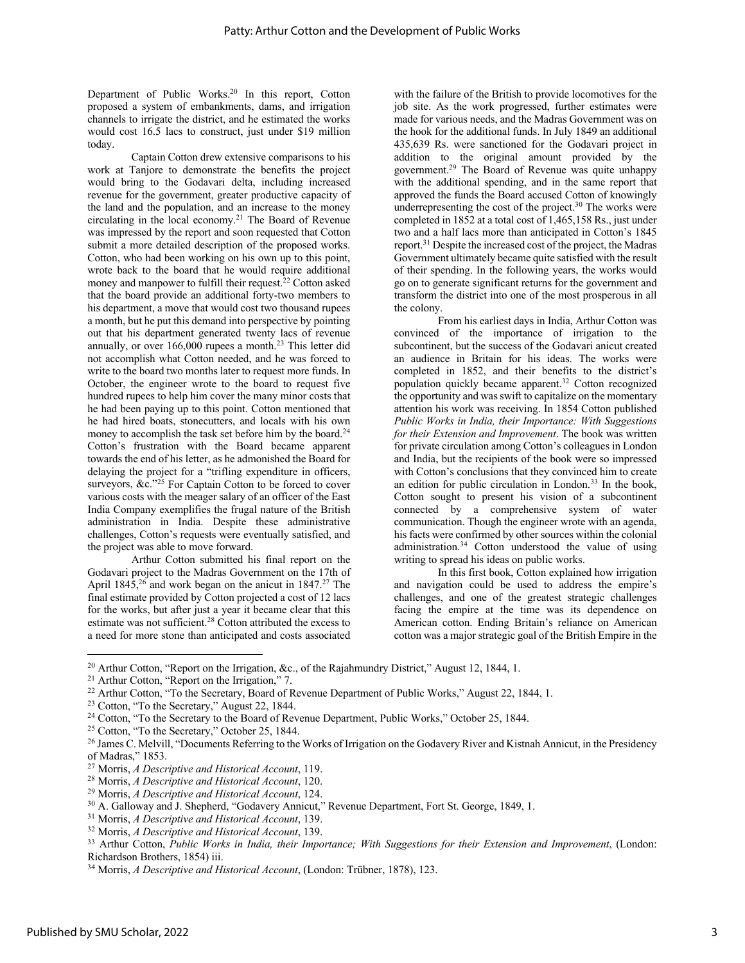Department of Public Works.<sup>20</sup> In this report, Cotton proposed a system of embankments, dams, and irrigation channels to irrigate the district, and he estimated the works would cost 16.5 lacs to construct, just under \$19 million today.

Captain Cotton drew extensive comparisons to his work at Tanjore to demonstrate the benefits the project would bring to the Godavari delta, including increased revenue for the government, greater productive capacity of the land and the population, and an increase to the money circulating in the local economy.21 The Board of Revenue was impressed by the report and soon requested that Cotton submit a more detailed description of the proposed works. Cotton, who had been working on his own up to this point, wrote back to the board that he would require additional money and manpower to fulfill their request.<sup>22</sup> Cotton asked that the board provide an additional forty-two members to his department, a move that would cost two thousand rupees a month, but he put this demand into perspective by pointing out that his department generated twenty lacs of revenue annually, or over 166,000 rupees a month.<sup>23</sup> This letter did not accomplish what Cotton needed, and he was forced to write to the board two months later to request more funds. In October, the engineer wrote to the board to request five hundred rupees to help him cover the many minor costs that he had been paying up to this point. Cotton mentioned that he had hired boats, stonecutters, and locals with his own money to accomplish the task set before him by the board.<sup>24</sup> Cotton's frustration with the Board became apparent towards the end of his letter, as he admonished the Board for delaying the project for a "trifling expenditure in officers, surveyors,  $\&c.$ <sup>"25</sup> For Captain Cotton to be forced to cover various costs with the meager salary of an officer of the East India Company exemplifies the frugal nature of the British administration in India. Despite these administrative challenges, Cotton's requests were eventually satisfied, and the project was able to move forward.

Arthur Cotton submitted his final report on the Godavari project to the Madras Government on the 17th of April  $1845<sup>26</sup>$  and work began on the anicut in  $1847<sup>27</sup>$  The final estimate provided by Cotton projected a cost of 12 lacs for the works, but after just a year it became clear that this estimate was not sufficient.<sup>28</sup> Cotton attributed the excess to a need for more stone than anticipated and costs associated

with the failure of the British to provide locomotives for the job site. As the work progressed, further estimates were made for various needs, and the Madras Government was on the hook for the additional funds. In July 1849 an additional 435,639 Rs. were sanctioned for the Godavari project in addition to the original amount provided by the government.29 The Board of Revenue was quite unhappy with the additional spending, and in the same report that approved the funds the Board accused Cotton of knowingly underrepresenting the cost of the project. $30$  The works were completed in 1852 at a total cost of 1,465,158 Rs., just under two and a half lacs more than anticipated in Cotton's 1845 report.31 Despite the increased cost of the project, the Madras Government ultimately became quite satisfied with the result of their spending. In the following years, the works would go on to generate significant returns for the government and transform the district into one of the most prosperous in all the colony.

From his earliest days in India, Arthur Cotton was convinced of the importance of irrigation to the subcontinent, but the success of the Godavari anicut created an audience in Britain for his ideas. The works were completed in 1852, and their benefits to the district's population quickly became apparent.<sup>32</sup> Cotton recognized the opportunity and was swift to capitalize on the momentary attention his work was receiving. In 1854 Cotton published *Public Works in India, their Importance: With Suggestions for their Extension and Improvement*. The book was written for private circulation among Cotton's colleagues in London and India, but the recipients of the book were so impressed with Cotton's conclusions that they convinced him to create an edition for public circulation in London.<sup>33</sup> In the book, Cotton sought to present his vision of a subcontinent connected by a comprehensive system of water communication. Though the engineer wrote with an agenda, his facts were confirmed by other sources within the colonial administration.34 Cotton understood the value of using writing to spread his ideas on public works.

In this first book, Cotton explained how irrigation and navigation could be used to address the empire's challenges, and one of the greatest strategic challenges facing the empire at the time was its dependence on American cotton. Ending Britain's reliance on American cotton was a major strategic goal of the British Empire in the

<sup>&</sup>lt;sup>20</sup> Arthur Cotton, "Report on the Irrigation, &c., of the Rajahmundry District," August 12, 1844, 1.

 $21$  Arthur Cotton, "Report on the Irrigation," 7.

 $22$  Arthur Cotton, "To the Secretary, Board of Revenue Department of Public Works," August 22, 1844, 1.

<sup>23</sup> Cotton, "To the Secretary," August 22, 1844.

<sup>&</sup>lt;sup>24</sup> Cotton, "To the Secretary to the Board of Revenue Department, Public Works," October 25, 1844.

 $25$  Cotton, "To the Secretary," October 25, 1844.

<sup>&</sup>lt;sup>26</sup> James C. Melvill, "Documents Referring to the Works of Irrigation on the Godavery River and Kistnah Annicut, in the Presidency of Madras," 1853.

<sup>27</sup> Morris, *A Descriptive and Historical Account*, 119.

<sup>28</sup> Morris, *A Descriptive and Historical Account*, 120.

<sup>29</sup> Morris, *A Descriptive and Historical Account*, 124.

<sup>30</sup> A. Galloway and J. Shepherd, "Godavery Annicut," Revenue Department, Fort St. George, 1849, 1.

<sup>31</sup> Morris, *A Descriptive and Historical Account*, 139.

<sup>32</sup> Morris, *A Descriptive and Historical Account*, 139.

<sup>33</sup> Arthur Cotton, *Public Works in India, their Importance; With Suggestions for their Extension and Improvement*, (London: Richardson Brothers, 1854) iii.

<sup>34</sup> Morris, *A Descriptive and Historical Account*, (London: Trübner, 1878), 123.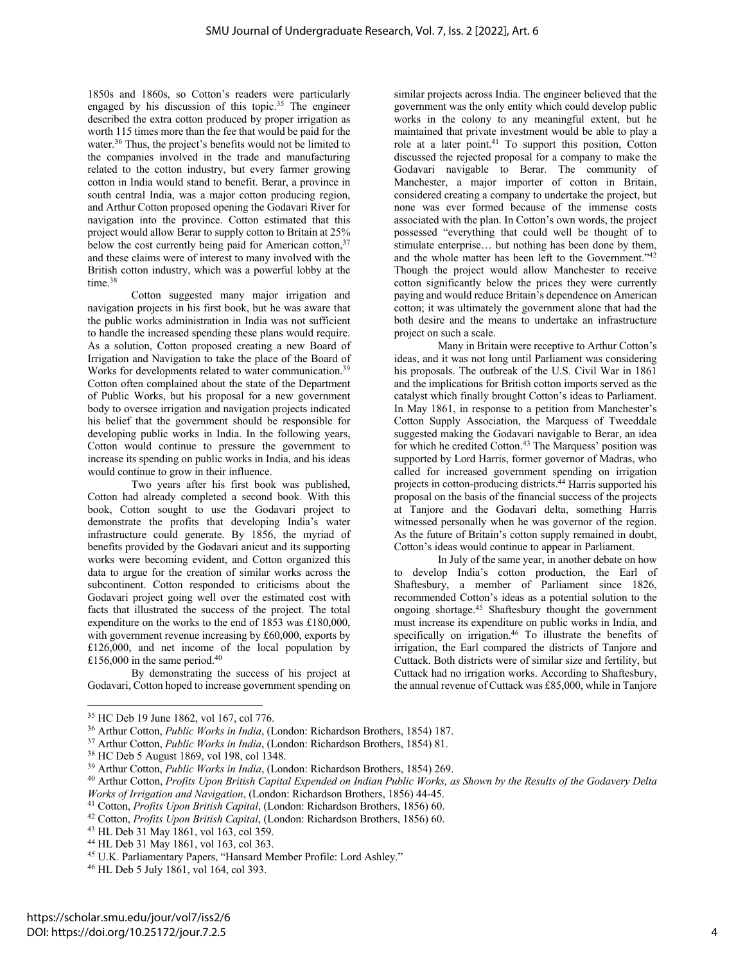1850s and 1860s, so Cotton's readers were particularly engaged by his discussion of this topic.<sup>35</sup> The engineer described the extra cotton produced by proper irrigation as worth 115 times more than the fee that would be paid for the water.<sup>36</sup> Thus, the project's benefits would not be limited to the companies involved in the trade and manufacturing related to the cotton industry, but every farmer growing cotton in India would stand to benefit. Berar, a province in south central India, was a major cotton producing region, and Arthur Cotton proposed opening the Godavari River for navigation into the province. Cotton estimated that this project would allow Berar to supply cotton to Britain at 25% below the cost currently being paid for American cotton,<sup>37</sup> and these claims were of interest to many involved with the British cotton industry, which was a powerful lobby at the time.<sup>38</sup>

Cotton suggested many major irrigation and navigation projects in his first book, but he was aware that the public works administration in India was not sufficient to handle the increased spending these plans would require. As a solution, Cotton proposed creating a new Board of Irrigation and Navigation to take the place of the Board of Works for developments related to water communication.<sup>39</sup> Cotton often complained about the state of the Department of Public Works, but his proposal for a new government body to oversee irrigation and navigation projects indicated his belief that the government should be responsible for developing public works in India. In the following years, Cotton would continue to pressure the government to increase its spending on public works in India, and his ideas would continue to grow in their influence.

Two years after his first book was published, Cotton had already completed a second book. With this book, Cotton sought to use the Godavari project to demonstrate the profits that developing India's water infrastructure could generate. By 1856, the myriad of benefits provided by the Godavari anicut and its supporting works were becoming evident, and Cotton organized this data to argue for the creation of similar works across the subcontinent. Cotton responded to criticisms about the Godavari project going well over the estimated cost with facts that illustrated the success of the project. The total expenditure on the works to the end of 1853 was £180,000, with government revenue increasing by £60,000, exports by £126,000, and net income of the local population by £156,000 in the same period. $40$ 

By demonstrating the success of his project at Godavari, Cotton hoped to increase government spending on

similar projects across India. The engineer believed that the government was the only entity which could develop public works in the colony to any meaningful extent, but he maintained that private investment would be able to play a role at a later point.<sup>41</sup> To support this position, Cotton discussed the rejected proposal for a company to make the Godavari navigable to Berar. The community of Manchester, a major importer of cotton in Britain, considered creating a company to undertake the project, but none was ever formed because of the immense costs associated with the plan. In Cotton's own words, the project possessed "everything that could well be thought of to stimulate enterprise… but nothing has been done by them, and the whole matter has been left to the Government."42 Though the project would allow Manchester to receive cotton significantly below the prices they were currently paying and would reduce Britain's dependence on American cotton; it was ultimately the government alone that had the both desire and the means to undertake an infrastructure project on such a scale.

Many in Britain were receptive to Arthur Cotton's ideas, and it was not long until Parliament was considering his proposals. The outbreak of the U.S. Civil War in 1861 and the implications for British cotton imports served as the catalyst which finally brought Cotton's ideas to Parliament. In May 1861, in response to a petition from Manchester's Cotton Supply Association, the Marquess of Tweeddale suggested making the Godavari navigable to Berar, an idea for which he credited Cotton.<sup>43</sup> The Marquess' position was supported by Lord Harris, former governor of Madras, who called for increased government spending on irrigation projects in cotton-producing districts.<sup>44</sup> Harris supported his proposal on the basis of the financial success of the projects at Tanjore and the Godavari delta, something Harris witnessed personally when he was governor of the region. As the future of Britain's cotton supply remained in doubt, Cotton's ideas would continue to appear in Parliament.

In July of the same year, in another debate on how to develop India's cotton production, the Earl of Shaftesbury, a member of Parliament since 1826, recommended Cotton's ideas as a potential solution to the ongoing shortage.45 Shaftesbury thought the government must increase its expenditure on public works in India, and specifically on irrigation.<sup>46</sup> To illustrate the benefits of irrigation, the Earl compared the districts of Tanjore and Cuttack. Both districts were of similar size and fertility, but Cuttack had no irrigation works. According to Shaftesbury, the annual revenue of Cuttack was £85,000, while in Tanjore

<sup>35</sup> HC Deb 19 June 1862, vol 167, col 776.

<sup>36</sup> Arthur Cotton, *Public Works in India*, (London: Richardson Brothers, 1854) 187.

<sup>37</sup> Arthur Cotton, *Public Works in India*, (London: Richardson Brothers, 1854) 81.

<sup>38</sup> HC Deb 5 August 1869, vol 198, col 1348.

<sup>39</sup> Arthur Cotton, *Public Works in India*, (London: Richardson Brothers, 1854) 269.

<sup>40</sup> Arthur Cotton, *Profits Upon British Capital Expended on Indian Public Works, as Shown by the Results of the Godavery Delta Works of Irrigation and Navigation*, (London: Richardson Brothers, 1856) 44-45.

<sup>41</sup> Cotton, *Profits Upon British Capital*, (London: Richardson Brothers, 1856) 60.

<sup>42</sup> Cotton, *Profits Upon British Capital*, (London: Richardson Brothers, 1856) 60.

<sup>43</sup> HL Deb 31 May 1861, vol 163, col 359.

<sup>44</sup> HL Deb 31 May 1861, vol 163, col 363.

<sup>45</sup> U.K. Parliamentary Papers, "Hansard Member Profile: Lord Ashley."

<sup>46</sup> HL Deb 5 July 1861, vol 164, col 393.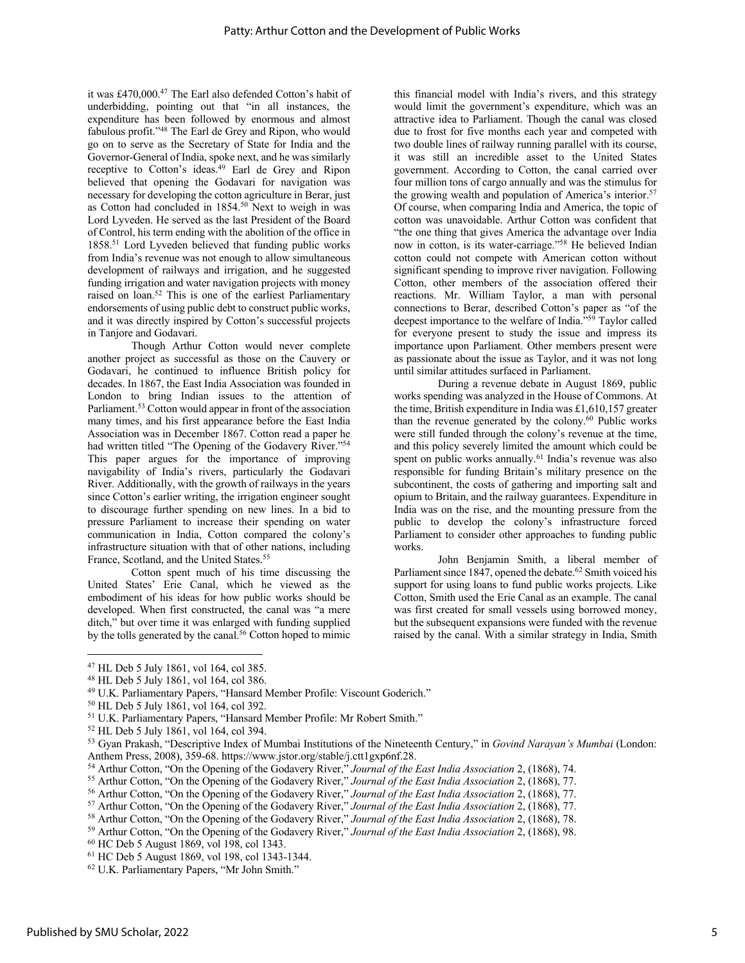it was £470,000.47 The Earl also defended Cotton's habit of underbidding, pointing out that "in all instances, the expenditure has been followed by enormous and almost fabulous profit."48 The Earl de Grey and Ripon, who would go on to serve as the Secretary of State for India and the Governor-General of India, spoke next, and he was similarly receptive to Cotton's ideas.<sup>49</sup> Earl de Grey and Ripon believed that opening the Godavari for navigation was necessary for developing the cotton agriculture in Berar, just as Cotton had concluded in 1854.<sup>50</sup> Next to weigh in was Lord Lyveden. He served as the last President of the Board of Control, his term ending with the abolition of the office in 1858.51 Lord Lyveden believed that funding public works from India's revenue was not enough to allow simultaneous development of railways and irrigation, and he suggested funding irrigation and water navigation projects with money raised on loan.52 This is one of the earliest Parliamentary endorsements of using public debt to construct public works, and it was directly inspired by Cotton's successful projects in Tanjore and Godavari.

Though Arthur Cotton would never complete another project as successful as those on the Cauvery or Godavari, he continued to influence British policy for decades. In 1867, the East India Association was founded in London to bring Indian issues to the attention of Parliament.<sup>53</sup> Cotton would appear in front of the association many times, and his first appearance before the East India Association was in December 1867. Cotton read a paper he had written titled "The Opening of the Godavery River."54 This paper argues for the importance of improving navigability of India's rivers, particularly the Godavari River. Additionally, with the growth of railways in the years since Cotton's earlier writing, the irrigation engineer sought to discourage further spending on new lines. In a bid to pressure Parliament to increase their spending on water communication in India, Cotton compared the colony's infrastructure situation with that of other nations, including France, Scotland, and the United States.<sup>55</sup>

Cotton spent much of his time discussing the United States' Erie Canal, which he viewed as the embodiment of his ideas for how public works should be developed. When first constructed, the canal was "a mere ditch," but over time it was enlarged with funding supplied by the tolls generated by the canal.<sup>56</sup> Cotton hoped to mimic

this financial model with India's rivers, and this strategy would limit the government's expenditure, which was an attractive idea to Parliament. Though the canal was closed due to frost for five months each year and competed with two double lines of railway running parallel with its course, it was still an incredible asset to the United States government. According to Cotton, the canal carried over four million tons of cargo annually and was the stimulus for the growing wealth and population of America's interior.<sup>57</sup> Of course, when comparing India and America, the topic of cotton was unavoidable. Arthur Cotton was confident that "the one thing that gives America the advantage over India now in cotton, is its water-carriage."58 He believed Indian cotton could not compete with American cotton without significant spending to improve river navigation. Following Cotton, other members of the association offered their reactions. Mr. William Taylor, a man with personal connections to Berar, described Cotton's paper as "of the deepest importance to the welfare of India."59 Taylor called for everyone present to study the issue and impress its importance upon Parliament. Other members present were as passionate about the issue as Taylor, and it was not long until similar attitudes surfaced in Parliament.

During a revenue debate in August 1869, public works spending was analyzed in the House of Commons. At the time, British expenditure in India was £1,610,157 greater than the revenue generated by the colony.<sup>60</sup> Public works were still funded through the colony's revenue at the time, and this policy severely limited the amount which could be spent on public works annually.<sup>61</sup> India's revenue was also responsible for funding Britain's military presence on the subcontinent, the costs of gathering and importing salt and opium to Britain, and the railway guarantees. Expenditure in India was on the rise, and the mounting pressure from the public to develop the colony's infrastructure forced Parliament to consider other approaches to funding public works.

John Benjamin Smith, a liberal member of Parliament since 1847, opened the debate.<sup>62</sup> Smith voiced his support for using loans to fund public works projects. Like Cotton, Smith used the Erie Canal as an example. The canal was first created for small vessels using borrowed money, but the subsequent expansions were funded with the revenue raised by the canal. With a similar strategy in India, Smith

<sup>50</sup> HL Deb 5 July 1861, vol 164, col 392.

<sup>52</sup> HL Deb 5 July 1861, vol 164, col 394.

<sup>47</sup> HL Deb 5 July 1861, vol 164, col 385.

<sup>48</sup> HL Deb 5 July 1861, vol 164, col 386.

<sup>49</sup> U.K. Parliamentary Papers, "Hansard Member Profile: Viscount Goderich."

<sup>51</sup> U.K. Parliamentary Papers, "Hansard Member Profile: Mr Robert Smith."

<sup>53</sup> Gyan Prakash, "Descriptive Index of Mumbai Institutions of the Nineteenth Century," in *Govind Narayan's Mumbai* (London: Anthem Press, 2008), 359-68. https://www.jstor.org/stable/j.ctt1gxp6nf.28.

<sup>54</sup> Arthur Cotton, "On the Opening of the Godavery River," *Journal of the East India Association* 2, (1868), 74.

<sup>55</sup> Arthur Cotton, "On the Opening of the Godavery River," *Journal of the East India Association* 2, (1868), 77.

<sup>56</sup> Arthur Cotton, "On the Opening of the Godavery River," *Journal of the East India Association* 2, (1868), 77.

<sup>57</sup> Arthur Cotton, "On the Opening of the Godavery River," *Journal of the East India Association* 2, (1868), 77.

<sup>58</sup> Arthur Cotton, "On the Opening of the Godavery River," *Journal of the East India Association* 2, (1868), 78.

<sup>59</sup> Arthur Cotton, "On the Opening of the Godavery River," *Journal of the East India Association* 2, (1868), 98.

<sup>60</sup> HC Deb 5 August 1869, vol 198, col 1343.

<sup>61</sup> HC Deb 5 August 1869, vol 198, col 1343-1344.

<sup>62</sup> U.K. Parliamentary Papers, "Mr John Smith."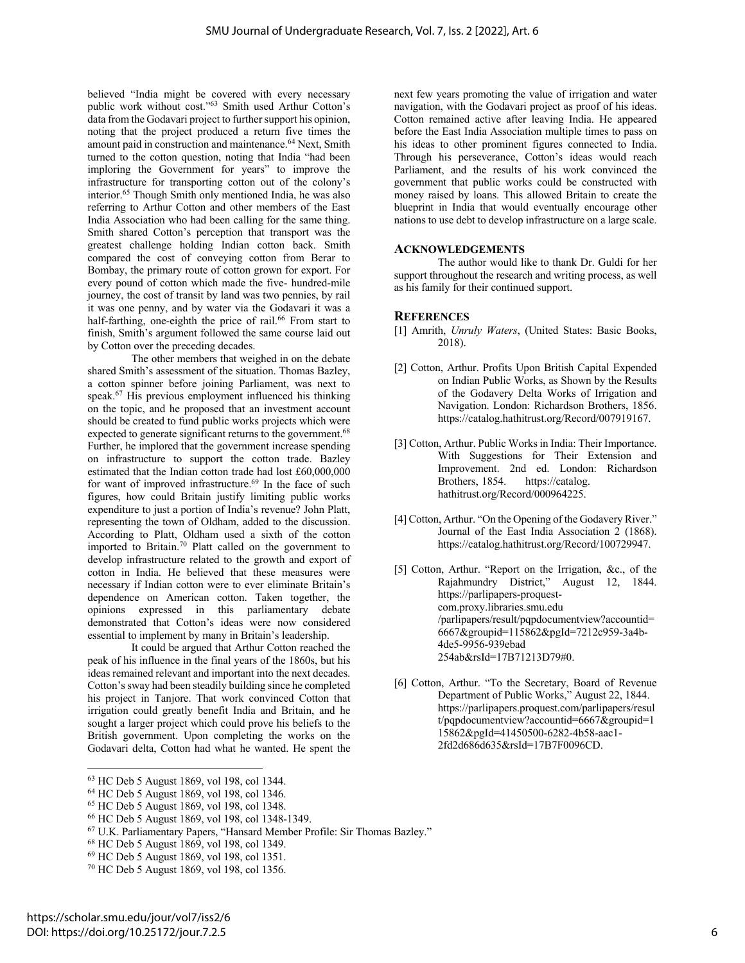believed "India might be covered with every necessary public work without cost."63 Smith used Arthur Cotton's data from the Godavari project to further support his opinion, noting that the project produced a return five times the amount paid in construction and maintenance.<sup>64</sup> Next, Smith turned to the cotton question, noting that India "had been imploring the Government for years" to improve the infrastructure for transporting cotton out of the colony's interior.65 Though Smith only mentioned India, he was also referring to Arthur Cotton and other members of the East India Association who had been calling for the same thing. Smith shared Cotton's perception that transport was the greatest challenge holding Indian cotton back. Smith compared the cost of conveying cotton from Berar to Bombay, the primary route of cotton grown for export. For every pound of cotton which made the five- hundred-mile journey, the cost of transit by land was two pennies, by rail it was one penny, and by water via the Godavari it was a half-farthing, one-eighth the price of rail.<sup>66</sup> From start to finish, Smith's argument followed the same course laid out by Cotton over the preceding decades.

The other members that weighed in on the debate shared Smith's assessment of the situation. Thomas Bazley, a cotton spinner before joining Parliament, was next to speak.<sup>67</sup> His previous employment influenced his thinking on the topic, and he proposed that an investment account should be created to fund public works projects which were expected to generate significant returns to the government.<sup>68</sup> Further, he implored that the government increase spending on infrastructure to support the cotton trade. Bazley estimated that the Indian cotton trade had lost £60,000,000 for want of improved infrastructure.<sup>69</sup> In the face of such figures, how could Britain justify limiting public works expenditure to just a portion of India's revenue? John Platt, representing the town of Oldham, added to the discussion. According to Platt, Oldham used a sixth of the cotton imported to Britain.<sup>70</sup> Platt called on the government to develop infrastructure related to the growth and export of cotton in India. He believed that these measures were necessary if Indian cotton were to ever eliminate Britain's dependence on American cotton. Taken together, the opinions expressed in this parliamentary debate demonstrated that Cotton's ideas were now considered essential to implement by many in Britain's leadership.

It could be argued that Arthur Cotton reached the peak of his influence in the final years of the 1860s, but his ideas remained relevant and important into the next decades. Cotton's sway had been steadily building since he completed his project in Tanjore. That work convinced Cotton that irrigation could greatly benefit India and Britain, and he sought a larger project which could prove his beliefs to the British government. Upon completing the works on the Godavari delta, Cotton had what he wanted. He spent the

<sup>63</sup> HC Deb 5 August 1869, vol 198, col 1344.

next few years promoting the value of irrigation and water navigation, with the Godavari project as proof of his ideas. Cotton remained active after leaving India. He appeared before the East India Association multiple times to pass on his ideas to other prominent figures connected to India. Through his perseverance, Cotton's ideas would reach Parliament, and the results of his work convinced the government that public works could be constructed with money raised by loans. This allowed Britain to create the blueprint in India that would eventually encourage other nations to use debt to develop infrastructure on a large scale.

#### **ACKNOWLEDGEMENTS**

The author would like to thank Dr. Guldi for her support throughout the research and writing process, as well as his family for their continued support.

#### **REFERENCES**

- [1] Amrith, *Unruly Waters*, (United States: Basic Books, 2018).
- [2] Cotton, Arthur. Profits Upon British Capital Expended on Indian Public Works, as Shown by the Results of the Godavery Delta Works of Irrigation and Navigation. London: Richardson Brothers, 1856. https://catalog.hathitrust.org/Record/007919167.
- [3] Cotton, Arthur. Public Works in India: Their Importance. With Suggestions for Their Extension and Improvement. 2nd ed. London: Richardson Brothers, 1854. https://catalog. hathitrust.org/Record/000964225.
- [4] Cotton, Arthur. "On the Opening of the Godavery River." Journal of the East India Association 2 (1868). https://catalog.hathitrust.org/Record/100729947.
- [5] Cotton, Arthur. "Report on the Irrigation, &c., of the Rajahmundry District," August 12, 1844. https://parlipapers-proquestcom.proxy.libraries.smu.edu /parlipapers/result/pqpdocumentview?accountid= 6667&groupid=115862&pgId=7212c959-3a4b-4de5-9956-939ebad 254ab&rsId=17B71213D79#0.
- [6] Cotton, Arthur. "To the Secretary, Board of Revenue Department of Public Works," August 22, 1844. https://parlipapers.proquest.com/parlipapers/resul t/pqpdocumentview?accountid=6667&groupid=1 15862&pgId=41450500-6282-4b58-aac1- 2fd2d686d635&rsId=17B7F0096CD.

<sup>64</sup> HC Deb 5 August 1869, vol 198, col 1346.

<sup>65</sup> HC Deb 5 August 1869, vol 198, col 1348.

<sup>66</sup> HC Deb 5 August 1869, vol 198, col 1348-1349.

<sup>67</sup> U.K. Parliamentary Papers, "Hansard Member Profile: Sir Thomas Bazley."

<sup>68</sup> HC Deb 5 August 1869, vol 198, col 1349.

<sup>69</sup> HC Deb 5 August 1869, vol 198, col 1351.

<sup>70</sup> HC Deb 5 August 1869, vol 198, col 1356.